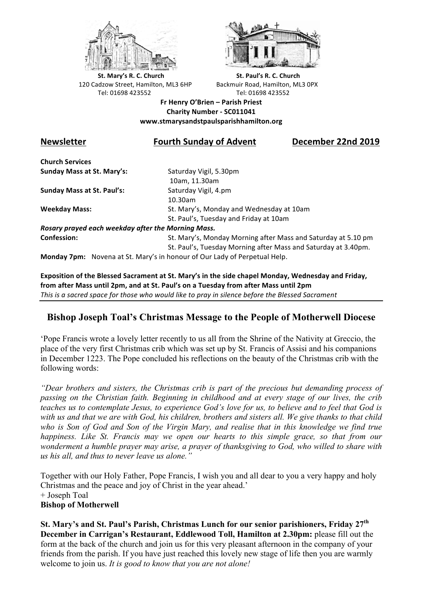



**St.** Mary's R. C. Church St. Paul's R. C. Church 120 Cadzow Street, Hamilton, ML3 6HP Backmuir Road, Hamilton, ML3 0PX Tel: 01698 423552 Tel: 01698 423552

**Fr Henry O'Brien – Parish Priest Charity Number - SC011041 www.stmarysandstpaulsparishhamilton.org**

## **Newsletter Fourth Sunday of Advent December 22nd 2019**

**Church Services Sunday Mass at St. Mary's:** Saturday Vigil, 5.30pm

**Sunday Mass at St. Paul's:** Saturday Vigil, 4.pm

 10am, 11.30am 10.30am **Weekday Mass:** St. Mary's, Monday and Wednesday at 10am St. Paul's, Tuesday and Friday at 10am

*Rosary prayed each weekday after the Morning Mass.* **Confession:** St. Mary's, Monday Morning after Mass and Saturday at 5.10 pm

St. Paul's, Tuesday Morning after Mass and Saturday at 3.40pm.

**Monday 7pm:** Novena at St. Mary's in honour of Our Lady of Perpetual Help.

Exposition of the Blessed Sacrament at St. Mary's in the side chapel Monday, Wednesday and Friday, from after Mass until 2pm, and at St. Paul's on a Tuesday from after Mass until 2pm This is a sacred space for those who would like to pray in silence before the Blessed Sacrament

# **Bishop Joseph Toal's Christmas Message to the People of Motherwell Diocese**

'Pope Francis wrote a lovely letter recently to us all from the Shrine of the Nativity at Greccio, the place of the very first Christmas crib which was set up by St. Francis of Assisi and his companions in December 1223. The Pope concluded his reflections on the beauty of the Christmas crib with the following words:

*"Dear brothers and sisters, the Christmas crib is part of the precious but demanding process of passing on the Christian faith. Beginning in childhood and at every stage of our lives, the crib teaches us to contemplate Jesus, to experience God's love for us, to believe and to feel that God is with us and that we are with God, his children, brothers and sisters all. We give thanks to that child who is Son of God and Son of the Virgin Mary, and realise that in this knowledge we find true happiness. Like St. Francis may we open our hearts to this simple grace, so that from our wonderment a humble prayer may arise, a prayer of thanksgiving to God, who willed to share with us his all, and thus to never leave us alone."*

Together with our Holy Father, Pope Francis, I wish you and all dear to you a very happy and holy Christmas and the peace and joy of Christ in the year ahead.' + Joseph Toal **Bishop of Motherwell**

**St. Mary's and St. Paul's Parish, Christmas Lunch for our senior parishioners, Friday 27th December in Carrigan's Restaurant, Eddlewood Toll, Hamilton at 2.30pm:** please fill out the form at the back of the church and join us for this very pleasant afternoon in the company of your friends from the parish. If you have just reached this lovely new stage of life then you are warmly welcome to join us. *It is good to know that you are not alone!*